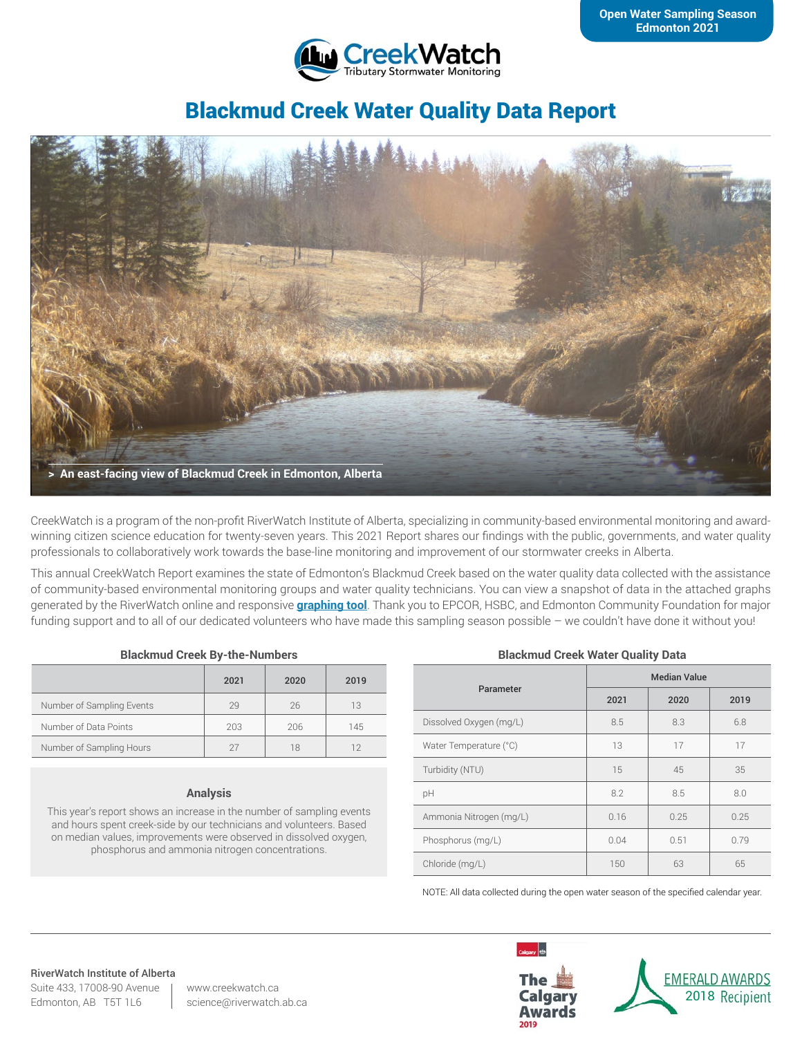

# Blackmud Creek Water Quality Data Report



CreekWatch is a program of the non-profit RiverWatch Institute of Alberta, specializing in community-based environmental monitoring and awardwinning citizen science education for twenty-seven years. This 2021 Report shares our findings with the public, governments, and water quality professionals to collaboratively work towards the base-line monitoring and improvement of our stormwater creeks in Alberta.

This annual CreekWatch Report examines the state of Edmonton's Blackmud Creek based on the water quality data collected with the assistance of community-based environmental monitoring groups and water quality technicians. You can view a snapshot of data in the attached graphs generated by the RiverWatch online and responsive **[graphing tool](http://www.riverwatch.ab.ca/index.php/science/data)**. Thank you to EPCOR, HSBC, and Edmonton Community Foundation for major funding support and to all of our dedicated volunteers who have made this sampling season possible – we couldn't have done it without you!

### **Blackmud Creek By-the-Numbers**

|                           | 2021 | 2020 | 2019 |
|---------------------------|------|------|------|
| Number of Sampling Events | 29   | 26   | 13   |
| Number of Data Points     | 203  | 206  | 145  |
| Number of Sampling Hours  |      | 18   | 12   |

#### **Analysis**

This year's report shows an increase in the number of sampling events and hours spent creek-side by our technicians and volunteers. Based on median values, improvements were observed in dissolved oxygen, phosphorus and ammonia nitrogen concentrations.

### **Blackmud Creek Water Quality Data**

| Parameter               | <b>Median Value</b> |      |      |
|-------------------------|---------------------|------|------|
|                         | 2021                | 2020 | 2019 |
| Dissolved Oxygen (mg/L) | 8.5                 | 8.3  | 6.8  |
| Water Temperature (°C)  | 13                  | 17   | 17   |
| Turbidity (NTU)         | 15                  | 45   | 35   |
| pH                      | 8.2                 | 8.5  | 8.0  |
| Ammonia Nitrogen (mg/L) | 0.16                | 0.25 | 0.25 |
| Phosphorus (mg/L)       | 0.04                | 0.51 | 0.79 |
| Chloride (mg/L)         | 150                 | 63   | 65   |

NOTE: All data collected during the open water season of the specified calendar year.

#### RiverWatch Institute of Alberta

Suite 433, 17008-90 Avenue Edmonton, AB T5T 1L6

www.creekwatch.ca science@riverwatch.ab.ca